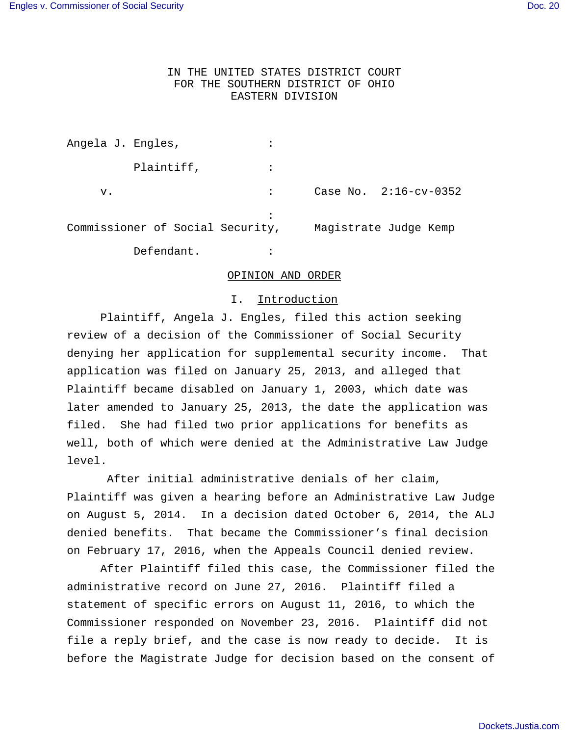### IN THE UNITED STATES DISTRICT COURT FOR THE SOUTHERN DISTRICT OF OHIO EASTERN DIVISION

| Angela J. Engles, |                                  |  |                         |
|-------------------|----------------------------------|--|-------------------------|
|                   | Plaintiff,                       |  |                         |
| v.                |                                  |  | Case No. $2:16-cv-0352$ |
|                   | Commissioner of Social Security, |  | Magistrate Judge Kemp   |
|                   | Defendant.                       |  |                         |

#### OPINION AND ORDER

### I. Introduction

 Plaintiff, Angela J. Engles, filed this action seeking review of a decision of the Commissioner of Social Security denying her application for supplemental security income. That application was filed on January 25, 2013, and alleged that Plaintiff became disabled on January 1, 2003, which date was later amended to January 25, 2013, the date the application was filed. She had filed two prior applications for benefits as well, both of which were denied at the Administrative Law Judge level.

 After initial administrative denials of her claim, Plaintiff was given a hearing before an Administrative Law Judge on August 5, 2014. In a decision dated October 6, 2014, the ALJ denied benefits. That became the Commissioner's final decision on February 17, 2016, when the Appeals Council denied review.

After Plaintiff filed this case, the Commissioner filed the administrative record on June 27, 2016. Plaintiff filed a statement of specific errors on August 11, 2016, to which the Commissioner responded on November 23, 2016. Plaintiff did not file a reply brief, and the case is now ready to decide. It is before the Magistrate Judge for decision based on the consent of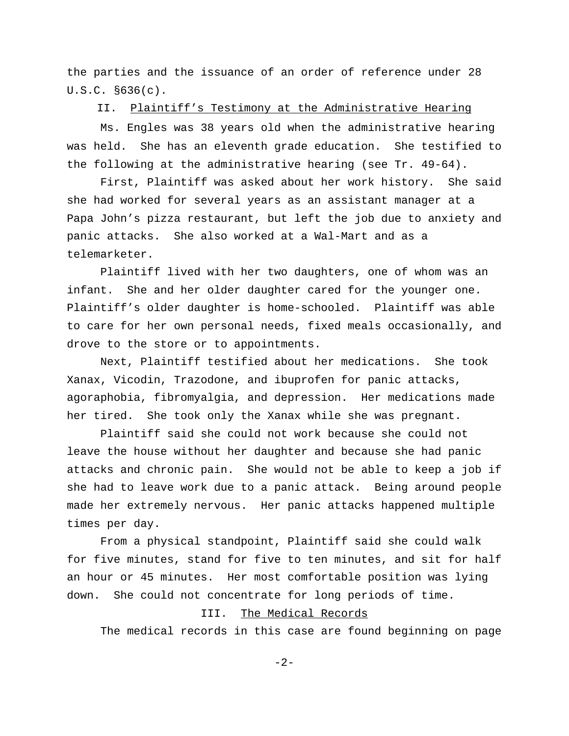the parties and the issuance of an order of reference under 28 U.S.C. §636(c).

II. Plaintiff's Testimony at the Administrative Hearing

 Ms. Engles was 38 years old when the administrative hearing was held. She has an eleventh grade education. She testified to the following at the administrative hearing (see Tr. 49-64).

First, Plaintiff was asked about her work history. She said she had worked for several years as an assistant manager at a Papa John's pizza restaurant, but left the job due to anxiety and panic attacks. She also worked at a Wal-Mart and as a telemarketer.

Plaintiff lived with her two daughters, one of whom was an infant. She and her older daughter cared for the younger one. Plaintiff's older daughter is home-schooled. Plaintiff was able to care for her own personal needs, fixed meals occasionally, and drove to the store or to appointments.

Next, Plaintiff testified about her medications. She took Xanax, Vicodin, Trazodone, and ibuprofen for panic attacks, agoraphobia, fibromyalgia, and depression. Her medications made her tired. She took only the Xanax while she was pregnant.

Plaintiff said she could not work because she could not leave the house without her daughter and because she had panic attacks and chronic pain. She would not be able to keep a job if she had to leave work due to a panic attack. Being around people made her extremely nervous. Her panic attacks happened multiple times per day.

From a physical standpoint, Plaintiff said she could walk for five minutes, stand for five to ten minutes, and sit for half an hour or 45 minutes. Her most comfortable position was lying down. She could not concentrate for long periods of time.

## III. The Medical Records

The medical records in this case are found beginning on page

-2-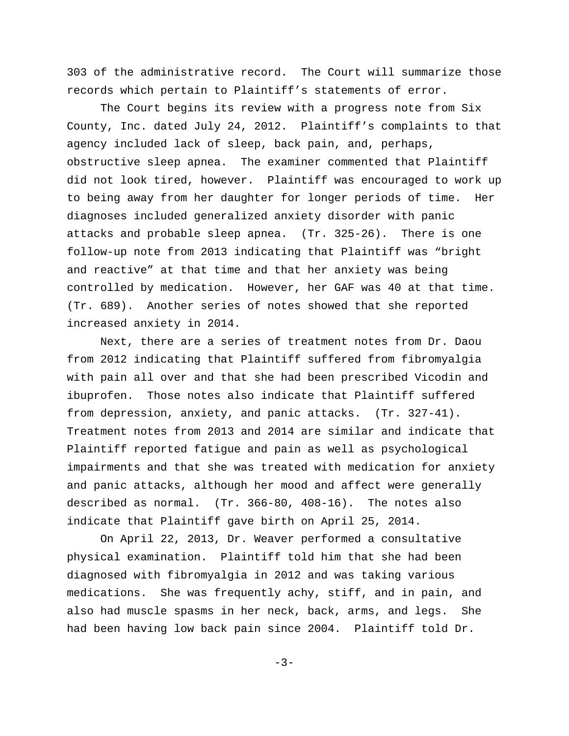303 of the administrative record. The Court will summarize those records which pertain to Plaintiff's statements of error.

The Court begins its review with a progress note from Six County, Inc. dated July 24, 2012. Plaintiff's complaints to that agency included lack of sleep, back pain, and, perhaps, obstructive sleep apnea. The examiner commented that Plaintiff did not look tired, however. Plaintiff was encouraged to work up to being away from her daughter for longer periods of time. Her diagnoses included generalized anxiety disorder with panic attacks and probable sleep apnea. (Tr. 325-26). There is one follow-up note from 2013 indicating that Plaintiff was "bright and reactive" at that time and that her anxiety was being controlled by medication. However, her GAF was 40 at that time. (Tr. 689). Another series of notes showed that she reported increased anxiety in 2014.

Next, there are a series of treatment notes from Dr. Daou from 2012 indicating that Plaintiff suffered from fibromyalgia with pain all over and that she had been prescribed Vicodin and ibuprofen. Those notes also indicate that Plaintiff suffered from depression, anxiety, and panic attacks. (Tr. 327-41). Treatment notes from 2013 and 2014 are similar and indicate that Plaintiff reported fatigue and pain as well as psychological impairments and that she was treated with medication for anxiety and panic attacks, although her mood and affect were generally described as normal. (Tr. 366-80, 408-16). The notes also indicate that Plaintiff gave birth on April 25, 2014.

On April 22, 2013, Dr. Weaver performed a consultative physical examination. Plaintiff told him that she had been diagnosed with fibromyalgia in 2012 and was taking various medications. She was frequently achy, stiff, and in pain, and also had muscle spasms in her neck, back, arms, and legs. She had been having low back pain since 2004. Plaintiff told Dr.

 $-3-$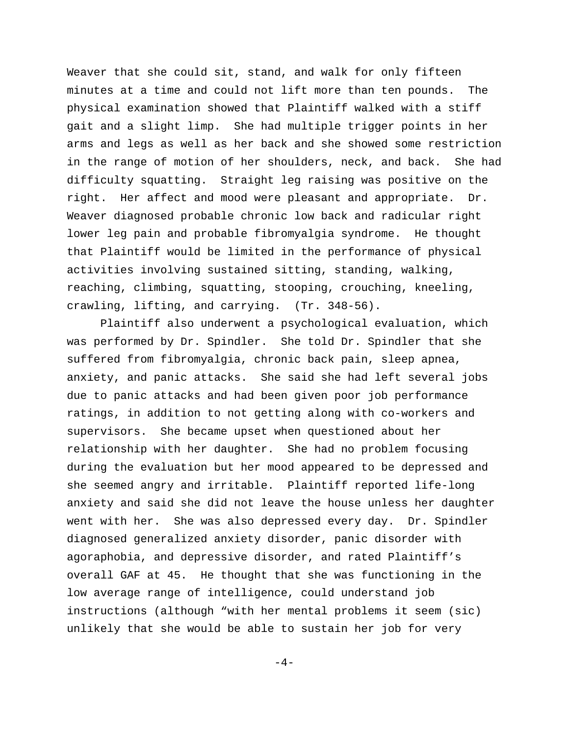Weaver that she could sit, stand, and walk for only fifteen minutes at a time and could not lift more than ten pounds. The physical examination showed that Plaintiff walked with a stiff gait and a slight limp. She had multiple trigger points in her arms and legs as well as her back and she showed some restriction in the range of motion of her shoulders, neck, and back. She had difficulty squatting. Straight leg raising was positive on the right. Her affect and mood were pleasant and appropriate. Dr. Weaver diagnosed probable chronic low back and radicular right lower leg pain and probable fibromyalgia syndrome. He thought that Plaintiff would be limited in the performance of physical activities involving sustained sitting, standing, walking, reaching, climbing, squatting, stooping, crouching, kneeling, crawling, lifting, and carrying. (Tr. 348-56).

Plaintiff also underwent a psychological evaluation, which was performed by Dr. Spindler. She told Dr. Spindler that she suffered from fibromyalgia, chronic back pain, sleep apnea, anxiety, and panic attacks. She said she had left several jobs due to panic attacks and had been given poor job performance ratings, in addition to not getting along with co-workers and supervisors. She became upset when questioned about her relationship with her daughter. She had no problem focusing during the evaluation but her mood appeared to be depressed and she seemed angry and irritable. Plaintiff reported life-long anxiety and said she did not leave the house unless her daughter went with her. She was also depressed every day. Dr. Spindler diagnosed generalized anxiety disorder, panic disorder with agoraphobia, and depressive disorder, and rated Plaintiff's overall GAF at 45. He thought that she was functioning in the low average range of intelligence, could understand job instructions (although "with her mental problems it seem (sic) unlikely that she would be able to sustain her job for very

 $-4-$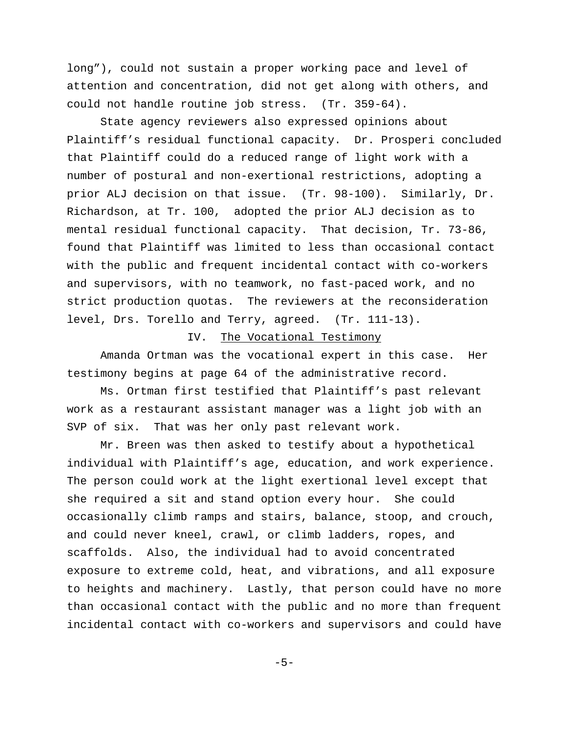long"), could not sustain a proper working pace and level of attention and concentration, did not get along with others, and could not handle routine job stress. (Tr. 359-64).

State agency reviewers also expressed opinions about Plaintiff's residual functional capacity. Dr. Prosperi concluded that Plaintiff could do a reduced range of light work with a number of postural and non-exertional restrictions, adopting a prior ALJ decision on that issue. (Tr. 98-100). Similarly, Dr. Richardson, at Tr. 100, adopted the prior ALJ decision as to mental residual functional capacity. That decision, Tr. 73-86, found that Plaintiff was limited to less than occasional contact with the public and frequent incidental contact with co-workers and supervisors, with no teamwork, no fast-paced work, and no strict production quotas. The reviewers at the reconsideration level, Drs. Torello and Terry, agreed. (Tr. 111-13).

## IV. The Vocational Testimony

Amanda Ortman was the vocational expert in this case. Her testimony begins at page 64 of the administrative record.

Ms. Ortman first testified that Plaintiff's past relevant work as a restaurant assistant manager was a light job with an SVP of six. That was her only past relevant work.

Mr. Breen was then asked to testify about a hypothetical individual with Plaintiff's age, education, and work experience. The person could work at the light exertional level except that she required a sit and stand option every hour. She could occasionally climb ramps and stairs, balance, stoop, and crouch, and could never kneel, crawl, or climb ladders, ropes, and scaffolds. Also, the individual had to avoid concentrated exposure to extreme cold, heat, and vibrations, and all exposure to heights and machinery. Lastly, that person could have no more than occasional contact with the public and no more than frequent incidental contact with co-workers and supervisors and could have

 $-5-$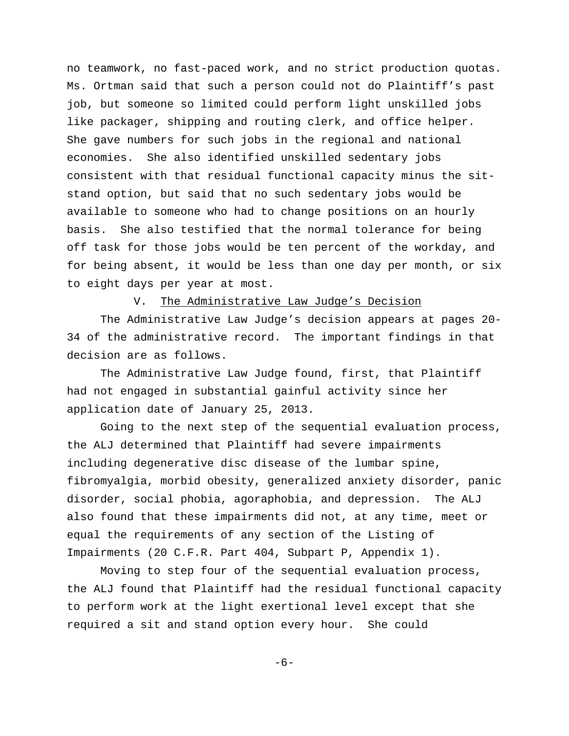no teamwork, no fast-paced work, and no strict production quotas. Ms. Ortman said that such a person could not do Plaintiff's past job, but someone so limited could perform light unskilled jobs like packager, shipping and routing clerk, and office helper. She gave numbers for such jobs in the regional and national economies. She also identified unskilled sedentary jobs consistent with that residual functional capacity minus the sitstand option, but said that no such sedentary jobs would be available to someone who had to change positions on an hourly basis. She also testified that the normal tolerance for being off task for those jobs would be ten percent of the workday, and for being absent, it would be less than one day per month, or six to eight days per year at most.

### V. The Administrative Law Judge's Decision

The Administrative Law Judge's decision appears at pages 20- 34 of the administrative record. The important findings in that decision are as follows.

The Administrative Law Judge found, first, that Plaintiff had not engaged in substantial gainful activity since her application date of January 25, 2013.

Going to the next step of the sequential evaluation process, the ALJ determined that Plaintiff had severe impairments including degenerative disc disease of the lumbar spine, fibromyalgia, morbid obesity, generalized anxiety disorder, panic disorder, social phobia, agoraphobia, and depression. The ALJ also found that these impairments did not, at any time, meet or equal the requirements of any section of the Listing of Impairments (20 C.F.R. Part 404, Subpart P, Appendix 1).

Moving to step four of the sequential evaluation process, the ALJ found that Plaintiff had the residual functional capacity to perform work at the light exertional level except that she required a sit and stand option every hour. She could

-6-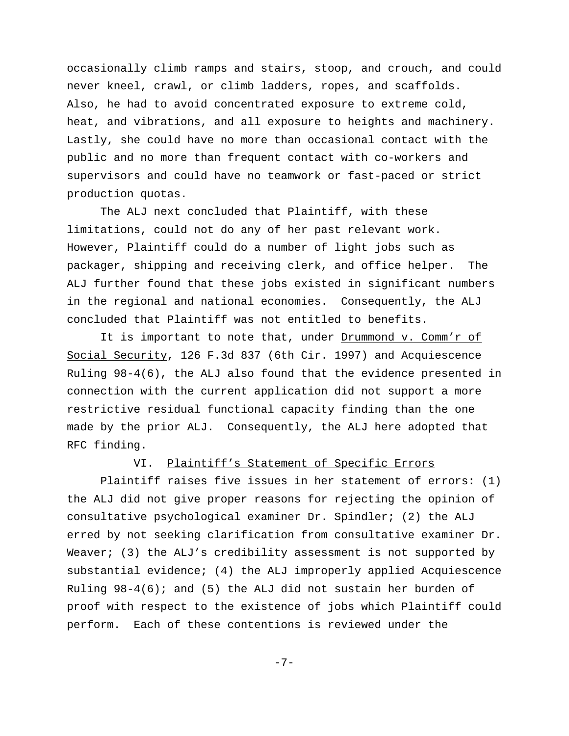occasionally climb ramps and stairs, stoop, and crouch, and could never kneel, crawl, or climb ladders, ropes, and scaffolds. Also, he had to avoid concentrated exposure to extreme cold, heat, and vibrations, and all exposure to heights and machinery. Lastly, she could have no more than occasional contact with the public and no more than frequent contact with co-workers and supervisors and could have no teamwork or fast-paced or strict production quotas.

The ALJ next concluded that Plaintiff, with these limitations, could not do any of her past relevant work. However, Plaintiff could do a number of light jobs such as packager, shipping and receiving clerk, and office helper. The ALJ further found that these jobs existed in significant numbers in the regional and national economies. Consequently, the ALJ concluded that Plaintiff was not entitled to benefits.

It is important to note that, under Drummond v. Comm'r of Social Security, 126 F.3d 837 (6th Cir. 1997) and Acquiescence Ruling 98-4(6), the ALJ also found that the evidence presented in connection with the current application did not support a more restrictive residual functional capacity finding than the one made by the prior ALJ. Consequently, the ALJ here adopted that RFC finding.

### VI. Plaintiff's Statement of Specific Errors

 Plaintiff raises five issues in her statement of errors: (1) the ALJ did not give proper reasons for rejecting the opinion of consultative psychological examiner Dr. Spindler; (2) the ALJ erred by not seeking clarification from consultative examiner Dr. Weaver; (3) the ALJ's credibility assessment is not supported by substantial evidence; (4) the ALJ improperly applied Acquiescence Ruling  $98-4(6)$ ; and (5) the ALJ did not sustain her burden of proof with respect to the existence of jobs which Plaintiff could perform. Each of these contentions is reviewed under the

-7-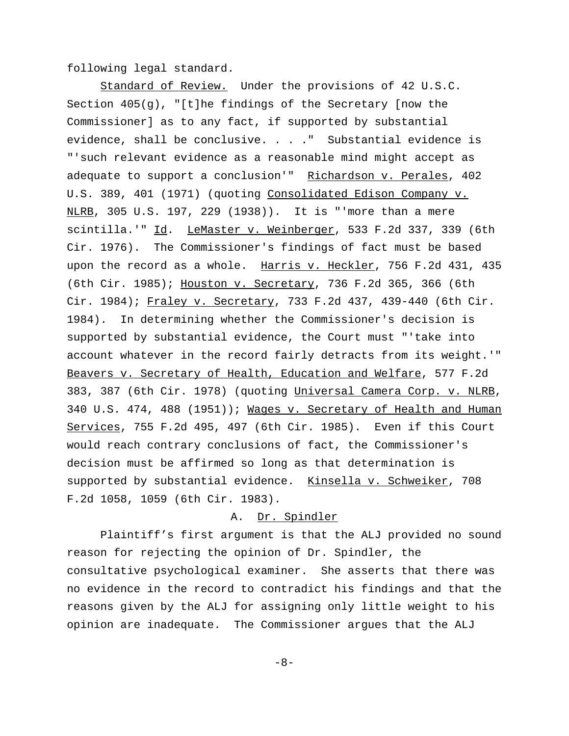following legal standard.

 Standard of Review. Under the provisions of 42 U.S.C. Section 405(g), "[t]he findings of the Secretary [now the Commissioner] as to any fact, if supported by substantial evidence, shall be conclusive. . . ." Substantial evidence is "'such relevant evidence as a reasonable mind might accept as adequate to support a conclusion'" Richardson v. Perales, 402 U.S. 389, 401 (1971) (quoting Consolidated Edison Company v. NLRB, 305 U.S. 197, 229 (1938)). It is "'more than a mere scintilla.'" Id. LeMaster v. Weinberger, 533 F.2d 337, 339 (6th Cir. 1976). The Commissioner's findings of fact must be based upon the record as a whole. Harris v. Heckler, 756 F.2d 431, 435 (6th Cir. 1985); Houston v. Secretary, 736 F.2d 365, 366 (6th Cir. 1984); Fraley v. Secretary, 733 F.2d 437, 439-440 (6th Cir. 1984). In determining whether the Commissioner's decision is supported by substantial evidence, the Court must "'take into account whatever in the record fairly detracts from its weight.'" Beavers v. Secretary of Health, Education and Welfare, 577 F.2d 383, 387 (6th Cir. 1978) (quoting Universal Camera Corp. v. NLRB, 340 U.S. 474, 488 (1951)); Wages v. Secretary of Health and Human Services, 755 F.2d 495, 497 (6th Cir. 1985). Even if this Court would reach contrary conclusions of fact, the Commissioner's decision must be affirmed so long as that determination is supported by substantial evidence. Kinsella v. Schweiker, 708 F.2d 1058, 1059 (6th Cir. 1983).

# A. Dr. Spindler

Plaintiff's first argument is that the ALJ provided no sound reason for rejecting the opinion of Dr. Spindler, the consultative psychological examiner. She asserts that there was no evidence in the record to contradict his findings and that the reasons given by the ALJ for assigning only little weight to his opinion are inadequate. The Commissioner argues that the ALJ

-8-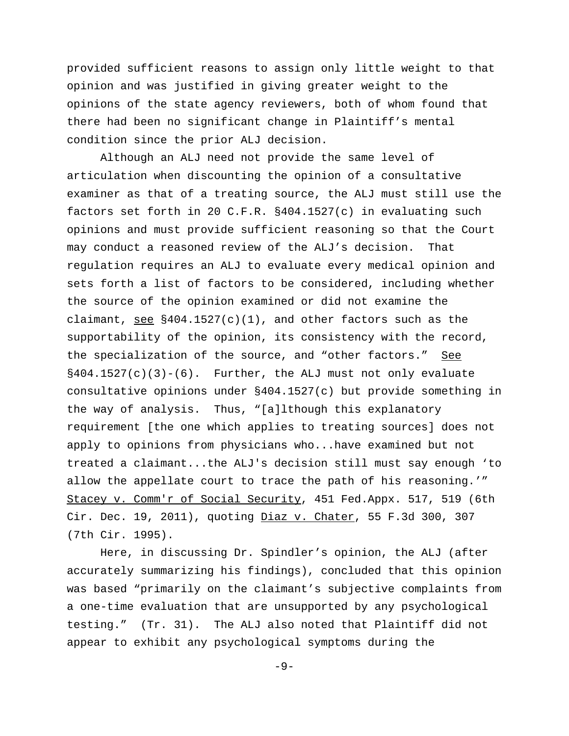provided sufficient reasons to assign only little weight to that opinion and was justified in giving greater weight to the opinions of the state agency reviewers, both of whom found that there had been no significant change in Plaintiff's mental condition since the prior ALJ decision.

Although an ALJ need not provide the same level of articulation when discounting the opinion of a consultative examiner as that of a treating source, the ALJ must still use the factors set forth in 20 C.F.R. §404.1527(c) in evaluating such opinions and must provide sufficient reasoning so that the Court may conduct a reasoned review of the ALJ's decision. That regulation requires an ALJ to evaluate every medical opinion and sets forth a list of factors to be considered, including whether the source of the opinion examined or did not examine the claimant, see  $§404.1527(c)(1)$ , and other factors such as the supportability of the opinion, its consistency with the record, the specialization of the source, and "other factors." See  $§404.1527(c)(3)-(6)$ . Further, the ALJ must not only evaluate consultative opinions under §404.1527(c) but provide something in the way of analysis. Thus, "[a]lthough this explanatory requirement [the one which applies to treating sources] does not apply to opinions from physicians who...have examined but not treated a claimant...the ALJ's decision still must say enough 'to allow the appellate court to trace the path of his reasoning.'" Stacey v. Comm'r of Social Security, 451 Fed.Appx. 517, 519 (6th Cir. Dec. 19, 2011), quoting Diaz v. Chater, 55 F.3d 300, 307 (7th Cir. 1995).

Here, in discussing Dr. Spindler's opinion, the ALJ (after accurately summarizing his findings), concluded that this opinion was based "primarily on the claimant's subjective complaints from a one-time evaluation that are unsupported by any psychological testing." (Tr. 31). The ALJ also noted that Plaintiff did not appear to exhibit any psychological symptoms during the

-9-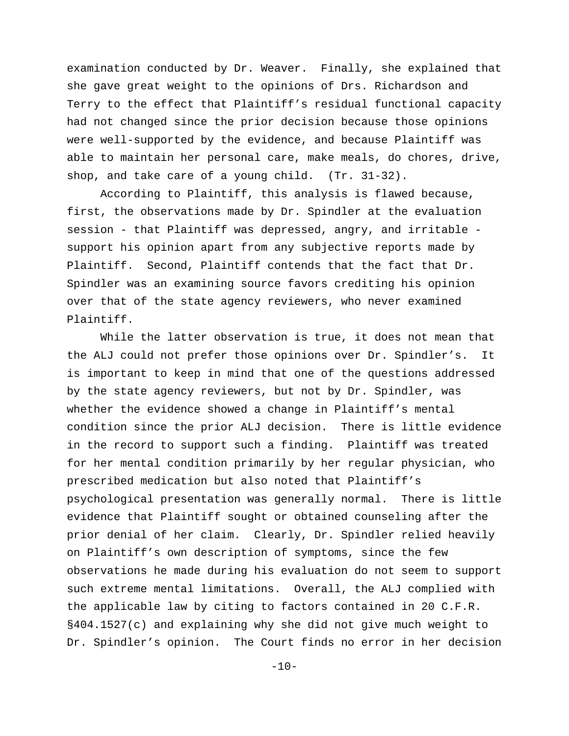examination conducted by Dr. Weaver. Finally, she explained that she gave great weight to the opinions of Drs. Richardson and Terry to the effect that Plaintiff's residual functional capacity had not changed since the prior decision because those opinions were well-supported by the evidence, and because Plaintiff was able to maintain her personal care, make meals, do chores, drive, shop, and take care of a young child. (Tr. 31-32).

According to Plaintiff, this analysis is flawed because, first, the observations made by Dr. Spindler at the evaluation session - that Plaintiff was depressed, angry, and irritable support his opinion apart from any subjective reports made by Plaintiff. Second, Plaintiff contends that the fact that Dr. Spindler was an examining source favors crediting his opinion over that of the state agency reviewers, who never examined Plaintiff.

While the latter observation is true, it does not mean that the ALJ could not prefer those opinions over Dr. Spindler's. It is important to keep in mind that one of the questions addressed by the state agency reviewers, but not by Dr. Spindler, was whether the evidence showed a change in Plaintiff's mental condition since the prior ALJ decision. There is little evidence in the record to support such a finding. Plaintiff was treated for her mental condition primarily by her regular physician, who prescribed medication but also noted that Plaintiff's psychological presentation was generally normal. There is little evidence that Plaintiff sought or obtained counseling after the prior denial of her claim. Clearly, Dr. Spindler relied heavily on Plaintiff's own description of symptoms, since the few observations he made during his evaluation do not seem to support such extreme mental limitations. Overall, the ALJ complied with the applicable law by citing to factors contained in 20 C.F.R. §404.1527(c) and explaining why she did not give much weight to Dr. Spindler's opinion. The Court finds no error in her decision

 $-10-$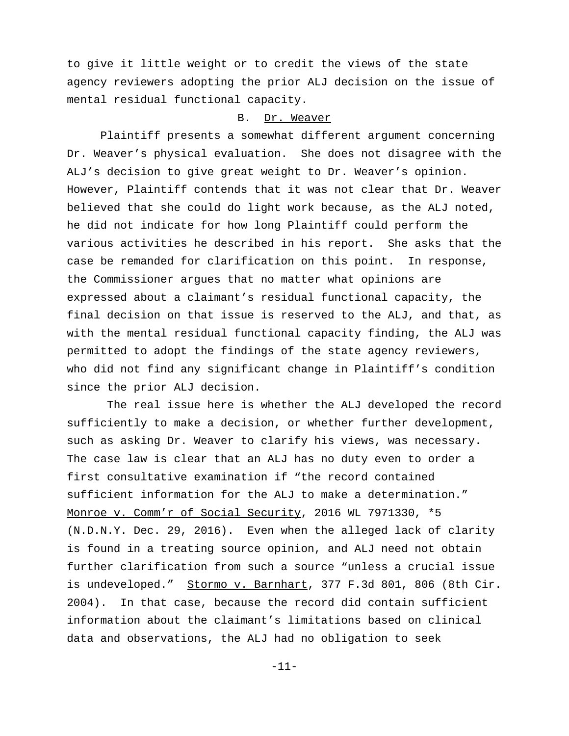to give it little weight or to credit the views of the state agency reviewers adopting the prior ALJ decision on the issue of mental residual functional capacity.

## B. Dr. Weaver

Plaintiff presents a somewhat different argument concerning Dr. Weaver's physical evaluation. She does not disagree with the ALJ's decision to give great weight to Dr. Weaver's opinion. However, Plaintiff contends that it was not clear that Dr. Weaver believed that she could do light work because, as the ALJ noted, he did not indicate for how long Plaintiff could perform the various activities he described in his report. She asks that the case be remanded for clarification on this point. In response, the Commissioner argues that no matter what opinions are expressed about a claimant's residual functional capacity, the final decision on that issue is reserved to the ALJ, and that, as with the mental residual functional capacity finding, the ALJ was permitted to adopt the findings of the state agency reviewers, who did not find any significant change in Plaintiff's condition since the prior ALJ decision.

 The real issue here is whether the ALJ developed the record sufficiently to make a decision, or whether further development, such as asking Dr. Weaver to clarify his views, was necessary. The case law is clear that an ALJ has no duty even to order a first consultative examination if "the record contained sufficient information for the ALJ to make a determination." Monroe v. Comm'r of Social Security, 2016 WL 7971330, \*5 (N.D.N.Y. Dec. 29, 2016). Even when the alleged lack of clarity is found in a treating source opinion, and ALJ need not obtain further clarification from such a source "unless a crucial issue is undeveloped." Stormo v. Barnhart, 377 F.3d 801, 806 (8th Cir. 2004). In that case, because the record did contain sufficient information about the claimant's limitations based on clinical data and observations, the ALJ had no obligation to seek

-11-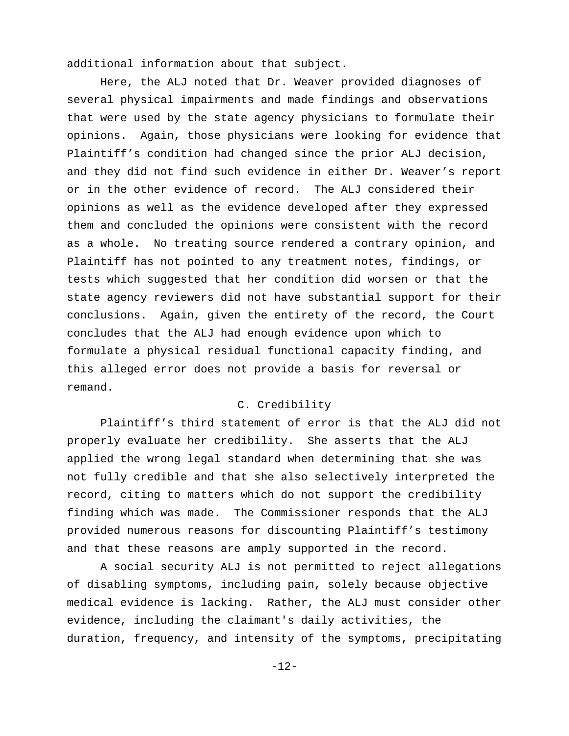additional information about that subject.

Here, the ALJ noted that Dr. Weaver provided diagnoses of several physical impairments and made findings and observations that were used by the state agency physicians to formulate their opinions. Again, those physicians were looking for evidence that Plaintiff's condition had changed since the prior ALJ decision, and they did not find such evidence in either Dr. Weaver's report or in the other evidence of record. The ALJ considered their opinions as well as the evidence developed after they expressed them and concluded the opinions were consistent with the record as a whole. No treating source rendered a contrary opinion, and Plaintiff has not pointed to any treatment notes, findings, or tests which suggested that her condition did worsen or that the state agency reviewers did not have substantial support for their conclusions. Again, given the entirety of the record, the Court concludes that the ALJ had enough evidence upon which to formulate a physical residual functional capacity finding, and this alleged error does not provide a basis for reversal or remand.

### C. Credibility

Plaintiff's third statement of error is that the ALJ did not properly evaluate her credibility. She asserts that the ALJ applied the wrong legal standard when determining that she was not fully credible and that she also selectively interpreted the record, citing to matters which do not support the credibility finding which was made. The Commissioner responds that the ALJ provided numerous reasons for discounting Plaintiff's testimony and that these reasons are amply supported in the record.

A social security ALJ is not permitted to reject allegations of disabling symptoms, including pain, solely because objective medical evidence is lacking. Rather, the ALJ must consider other evidence, including the claimant's daily activities, the duration, frequency, and intensity of the symptoms, precipitating

-12-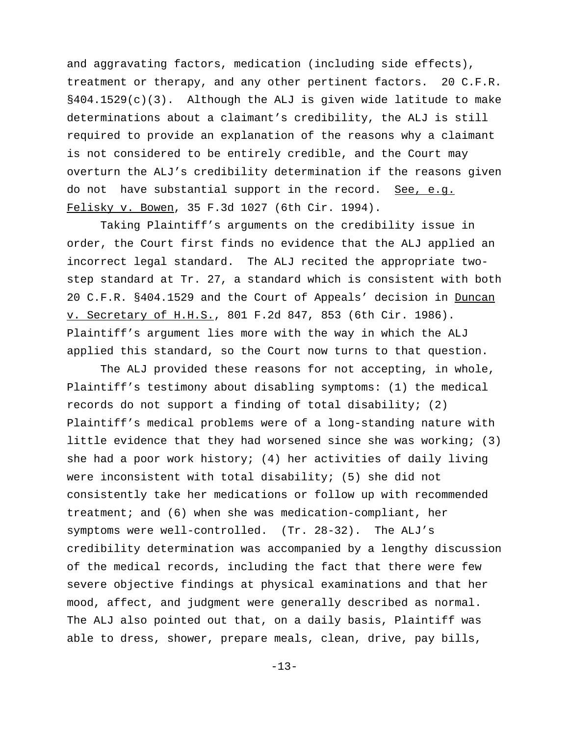and aggravating factors, medication (including side effects), treatment or therapy, and any other pertinent factors. 20 C.F.R.  $§404.1529(c)(3)$ . Although the ALJ is given wide latitude to make determinations about a claimant's credibility, the ALJ is still required to provide an explanation of the reasons why a claimant is not considered to be entirely credible, and the Court may overturn the ALJ's credibility determination if the reasons given do not have substantial support in the record. See, e.g. Felisky v. Bowen, 35 F.3d 1027 (6th Cir. 1994).

Taking Plaintiff's arguments on the credibility issue in order, the Court first finds no evidence that the ALJ applied an incorrect legal standard. The ALJ recited the appropriate twostep standard at Tr. 27, a standard which is consistent with both 20 C.F.R. §404.1529 and the Court of Appeals' decision in Duncan v. Secretary of H.H.S., 801 F.2d 847, 853 (6th Cir. 1986). Plaintiff's argument lies more with the way in which the ALJ applied this standard, so the Court now turns to that question.

The ALJ provided these reasons for not accepting, in whole, Plaintiff's testimony about disabling symptoms: (1) the medical records do not support a finding of total disability; (2) Plaintiff's medical problems were of a long-standing nature with little evidence that they had worsened since she was working; (3) she had a poor work history; (4) her activities of daily living were inconsistent with total disability; (5) she did not consistently take her medications or follow up with recommended treatment; and (6) when she was medication-compliant, her symptoms were well-controlled. (Tr. 28-32). The ALJ's credibility determination was accompanied by a lengthy discussion of the medical records, including the fact that there were few severe objective findings at physical examinations and that her mood, affect, and judgment were generally described as normal. The ALJ also pointed out that, on a daily basis, Plaintiff was able to dress, shower, prepare meals, clean, drive, pay bills,

-13-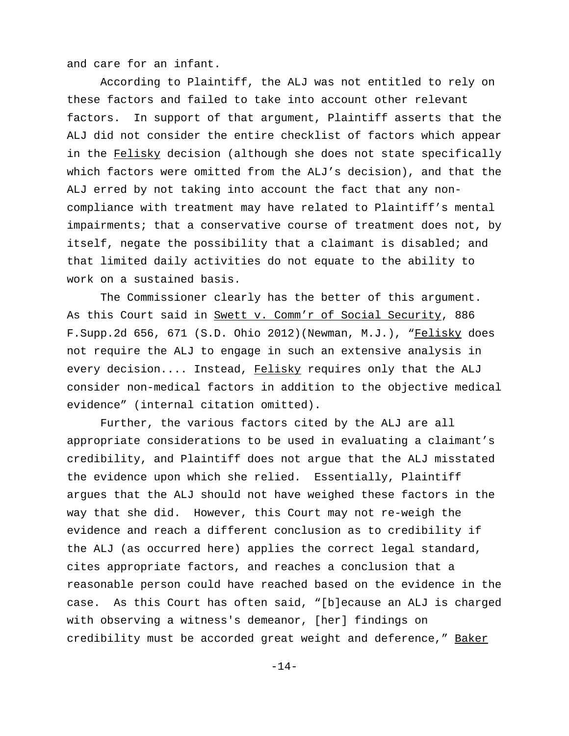and care for an infant.

According to Plaintiff, the ALJ was not entitled to rely on these factors and failed to take into account other relevant factors. In support of that argument, Plaintiff asserts that the ALJ did not consider the entire checklist of factors which appear in the Felisky decision (although she does not state specifically which factors were omitted from the ALJ's decision), and that the ALJ erred by not taking into account the fact that any noncompliance with treatment may have related to Plaintiff's mental impairments; that a conservative course of treatment does not, by itself, negate the possibility that a claimant is disabled; and that limited daily activities do not equate to the ability to work on a sustained basis.

The Commissioner clearly has the better of this argument. As this Court said in Swett v. Comm'r of Social Security, 886 F.Supp.2d 656, 671 (S.D. Ohio 2012)(Newman, M.J.), "Felisky does not require the ALJ to engage in such an extensive analysis in every decision.... Instead, Felisky requires only that the ALJ consider non-medical factors in addition to the objective medical evidence" (internal citation omitted).

Further, the various factors cited by the ALJ are all appropriate considerations to be used in evaluating a claimant's credibility, and Plaintiff does not argue that the ALJ misstated the evidence upon which she relied. Essentially, Plaintiff argues that the ALJ should not have weighed these factors in the way that she did. However, this Court may not re-weigh the evidence and reach a different conclusion as to credibility if the ALJ (as occurred here) applies the correct legal standard, cites appropriate factors, and reaches a conclusion that a reasonable person could have reached based on the evidence in the case. As this Court has often said, "[b]ecause an ALJ is charged with observing a witness's demeanor, [her] findings on credibility must be accorded great weight and deference," Baker

-14-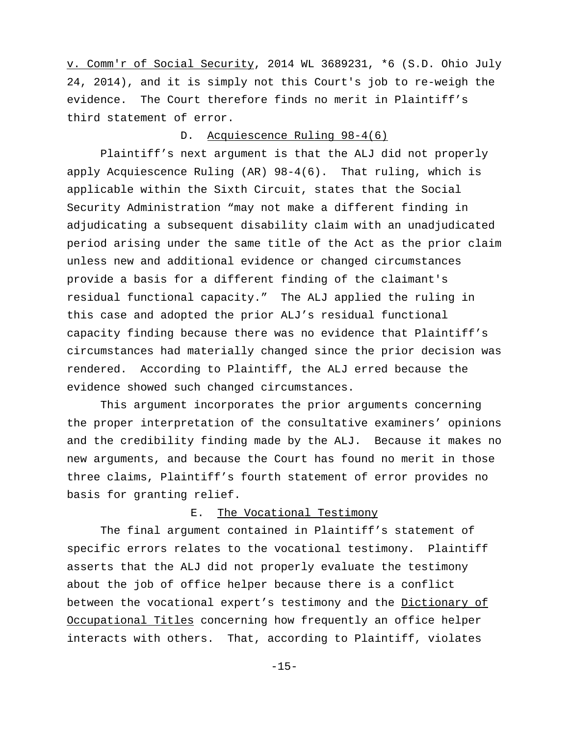v. Comm'r of Social Security, 2014 WL 3689231, \*6 (S.D. Ohio July 24, 2014), and it is simply not this Court's job to re-weigh the evidence. The Court therefore finds no merit in Plaintiff's third statement of error.

### D. Acquiescence Ruling 98-4(6)

Plaintiff's next argument is that the ALJ did not properly apply Acquiescence Ruling (AR) 98-4(6). That ruling, which is applicable within the Sixth Circuit, states that the Social Security Administration "may not make a different finding in adjudicating a subsequent disability claim with an unadjudicated period arising under the same title of the Act as the prior claim unless new and additional evidence or changed circumstances provide a basis for a different finding of the claimant's residual functional capacity." The ALJ applied the ruling in this case and adopted the prior ALJ's residual functional capacity finding because there was no evidence that Plaintiff's circumstances had materially changed since the prior decision was rendered. According to Plaintiff, the ALJ erred because the evidence showed such changed circumstances.

This argument incorporates the prior arguments concerning the proper interpretation of the consultative examiners' opinions and the credibility finding made by the ALJ. Because it makes no new arguments, and because the Court has found no merit in those three claims, Plaintiff's fourth statement of error provides no basis for granting relief.

## E. The Vocational Testimony

The final argument contained in Plaintiff's statement of specific errors relates to the vocational testimony. Plaintiff asserts that the ALJ did not properly evaluate the testimony about the job of office helper because there is a conflict between the vocational expert's testimony and the Dictionary of Occupational Titles concerning how frequently an office helper interacts with others. That, according to Plaintiff, violates

-15-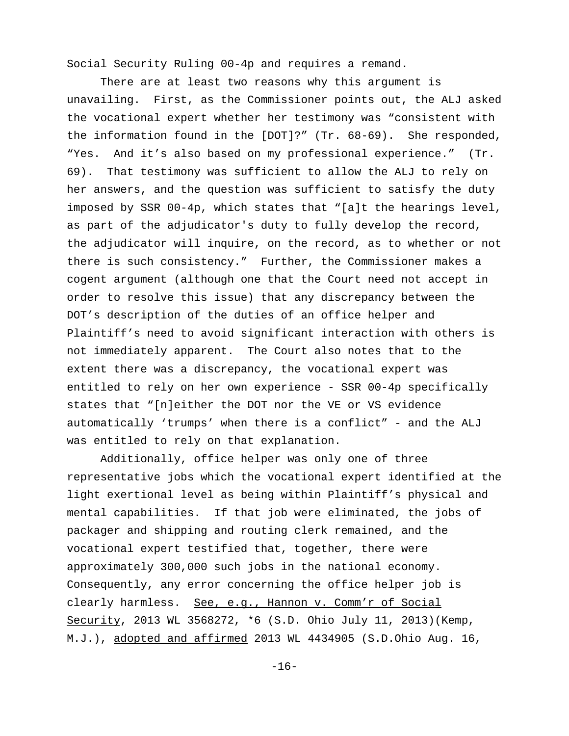Social Security Ruling 00-4p and requires a remand.

There are at least two reasons why this argument is unavailing. First, as the Commissioner points out, the ALJ asked the vocational expert whether her testimony was "consistent with the information found in the [DOT]?" (Tr. 68-69). She responded, "Yes. And it's also based on my professional experience." (Tr. 69). That testimony was sufficient to allow the ALJ to rely on her answers, and the question was sufficient to satisfy the duty imposed by SSR 00-4p, which states that "[a]t the hearings level, as part of the adjudicator's duty to fully develop the record, the adjudicator will inquire, on the record, as to whether or not there is such consistency." Further, the Commissioner makes a cogent argument (although one that the Court need not accept in order to resolve this issue) that any discrepancy between the DOT's description of the duties of an office helper and Plaintiff's need to avoid significant interaction with others is not immediately apparent. The Court also notes that to the extent there was a discrepancy, the vocational expert was entitled to rely on her own experience - SSR 00-4p specifically states that "[n]either the DOT nor the VE or VS evidence automatically 'trumps' when there is a conflict" - and the ALJ was entitled to rely on that explanation.

Additionally, office helper was only one of three representative jobs which the vocational expert identified at the light exertional level as being within Plaintiff's physical and mental capabilities. If that job were eliminated, the jobs of packager and shipping and routing clerk remained, and the vocational expert testified that, together, there were approximately 300,000 such jobs in the national economy. Consequently, any error concerning the office helper job is clearly harmless. See, e.g., Hannon v. Comm'r of Social Security, 2013 WL 3568272, \*6 (S.D. Ohio July 11, 2013)(Kemp, M.J.), adopted and affirmed 2013 WL 4434905 (S.D.Ohio Aug. 16,

-16-